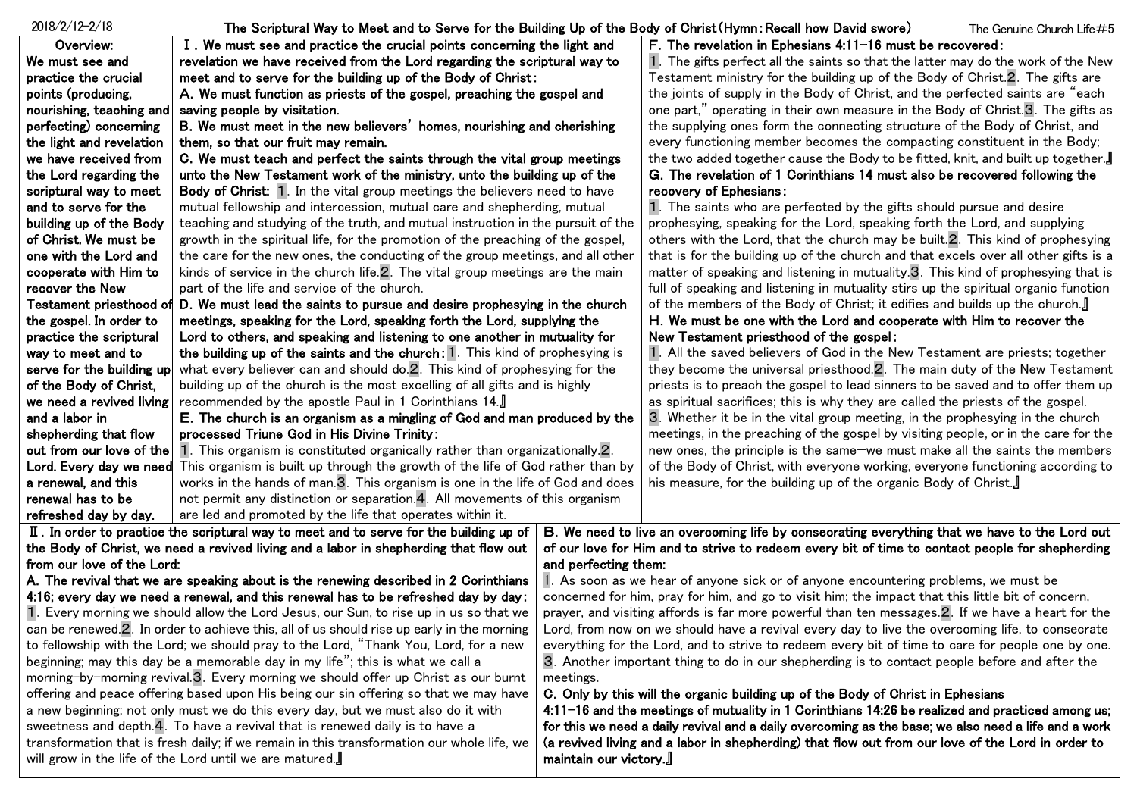| $2018/2/12 - 2/18$                                                                                                                                                        | The Scriptural Way to Meet and to Serve for the Building Up of the Body of Christ(Hymn:Recall how David swore) |                                                                                                                            |                                                                                                 | The Genuine Church Life #5 |
|---------------------------------------------------------------------------------------------------------------------------------------------------------------------------|----------------------------------------------------------------------------------------------------------------|----------------------------------------------------------------------------------------------------------------------------|-------------------------------------------------------------------------------------------------|----------------------------|
| Overview:                                                                                                                                                                 | I. We must see and practice the crucial points concerning the light and                                        |                                                                                                                            | F. The revelation in Ephesians 4:11-16 must be recovered:                                       |                            |
| We must see and                                                                                                                                                           | revelation we have received from the Lord regarding the scriptural way to                                      |                                                                                                                            | 1. The gifts perfect all the saints so that the latter may do the work of the New               |                            |
| practice the crucial                                                                                                                                                      | meet and to serve for the building up of the Body of Christ:                                                   |                                                                                                                            | Testament ministry for the building up of the Body of Christ.2. The gifts are                   |                            |
| points (producing,                                                                                                                                                        | A. We must function as priests of the gospel, preaching the gospel and                                         |                                                                                                                            | the joints of supply in the Body of Christ, and the perfected saints are "each                  |                            |
| nourishing, teaching and                                                                                                                                                  | saving people by visitation.                                                                                   |                                                                                                                            | one part," operating in their own measure in the Body of Christ.3. The gifts as                 |                            |
| perfecting) concerning                                                                                                                                                    | B. We must meet in the new believers' homes, nourishing and cherishing                                         |                                                                                                                            | the supplying ones form the connecting structure of the Body of Christ, and                     |                            |
| the light and revelation                                                                                                                                                  | them, so that our fruit may remain.                                                                            |                                                                                                                            | every functioning member becomes the compacting constituent in the Body;                        |                            |
| we have received from                                                                                                                                                     | C. We must teach and perfect the saints through the vital group meetings                                       |                                                                                                                            | the two added together cause the Body to be fitted, knit, and built up together.                |                            |
| the Lord regarding the                                                                                                                                                    | unto the New Testament work of the ministry, unto the building up of the                                       |                                                                                                                            | G. The revelation of 1 Corinthians 14 must also be recovered following the                      |                            |
| scriptural way to meet                                                                                                                                                    | Body of Christ: 1. In the vital group meetings the believers need to have                                      |                                                                                                                            | recovery of Ephesians:                                                                          |                            |
| and to serve for the                                                                                                                                                      | mutual fellowship and intercession, mutual care and shepherding, mutual                                        |                                                                                                                            | 1. The saints who are perfected by the gifts should pursue and desire                           |                            |
| building up of the Body                                                                                                                                                   | teaching and studying of the truth, and mutual instruction in the pursuit of the                               |                                                                                                                            | prophesying, speaking for the Lord, speaking forth the Lord, and supplying                      |                            |
| of Christ. We must be                                                                                                                                                     | growth in the spiritual life, for the promotion of the preaching of the gospel,                                |                                                                                                                            | others with the Lord, that the church may be built. 2. This kind of prophesying                 |                            |
| one with the Lord and                                                                                                                                                     | the care for the new ones, the conducting of the group meetings, and all other                                 |                                                                                                                            | that is for the building up of the church and that excels over all other gifts is a             |                            |
| cooperate with Him to                                                                                                                                                     | kinds of service in the church life. 2. The vital group meetings are the main                                  |                                                                                                                            | matter of speaking and listening in mutuality 3. This kind of prophesying that is               |                            |
| recover the New                                                                                                                                                           | part of the life and service of the church.                                                                    |                                                                                                                            | full of speaking and listening in mutuality stirs up the spiritual organic function             |                            |
| Testament priesthood of                                                                                                                                                   | D. We must lead the saints to pursue and desire prophesying in the church                                      |                                                                                                                            | of the members of the Body of Christ; it edifies and builds up the church.                      |                            |
| the gospel. In order to                                                                                                                                                   | meetings, speaking for the Lord, speaking forth the Lord, supplying the                                        |                                                                                                                            | H. We must be one with the Lord and cooperate with Him to recover the                           |                            |
| practice the scriptural                                                                                                                                                   | Lord to others, and speaking and listening to one another in mutuality for                                     |                                                                                                                            | New Testament priesthood of the gospel:                                                         |                            |
| way to meet and to                                                                                                                                                        | the building up of the saints and the church: 1. This kind of prophesying is                                   |                                                                                                                            | 1. All the saved believers of God in the New Testament are priests; together                    |                            |
| serve for the building up                                                                                                                                                 | what every believer can and should do.2. This kind of prophesying for the                                      |                                                                                                                            | they become the universal priesthood. <sup>2</sup> . The main duty of the New Testament         |                            |
| of the Body of Christ,                                                                                                                                                    | building up of the church is the most excelling of all gifts and is highly                                     |                                                                                                                            | priests is to preach the gospel to lead sinners to be saved and to offer them up                |                            |
| we need a revived living                                                                                                                                                  | recommended by the apostle Paul in 1 Corinthians 14.                                                           |                                                                                                                            | as spiritual sacrifices; this is why they are called the priests of the gospel.                 |                            |
| and a labor in                                                                                                                                                            | E. The church is an organism as a mingling of God and man produced by the                                      |                                                                                                                            | 3. Whether it be in the vital group meeting, in the prophesying in the church                   |                            |
| shepherding that flow                                                                                                                                                     | processed Triune God in His Divine Trinity:                                                                    |                                                                                                                            | meetings, in the preaching of the gospel by visiting people, or in the care for the             |                            |
| out from our love of the                                                                                                                                                  | 1. This organism is constituted organically rather than organizationally $2$ .                                 |                                                                                                                            | new ones, the principle is the same-we must make all the saints the members                     |                            |
| Lord. Every day we need                                                                                                                                                   | This organism is built up through the growth of the life of God rather than by                                 |                                                                                                                            | of the Body of Christ, with everyone working, everyone functioning according to                 |                            |
| a renewal, and this                                                                                                                                                       | works in the hands of man.3. This organism is one in the life of God and does                                  |                                                                                                                            | his measure, for the building up of the organic Body of Christ.                                 |                            |
| renewal has to be                                                                                                                                                         | not permit any distinction or separation.4. All movements of this organism                                     |                                                                                                                            |                                                                                                 |                            |
| refreshed day by day.                                                                                                                                                     | are led and promoted by the life that operates within it.                                                      |                                                                                                                            |                                                                                                 |                            |
|                                                                                                                                                                           | II. In order to practice the scriptural way to meet and to serve for the building up of                        |                                                                                                                            | B. We need to live an overcoming life by consecrating everything that we have to the Lord out   |                            |
| the Body of Christ, we need a revived living and a labor in shepherding that flow out                                                                                     |                                                                                                                |                                                                                                                            | of our love for Him and to strive to redeem every bit of time to contact people for shepherding |                            |
| from our love of the Lord:                                                                                                                                                |                                                                                                                | and perfecting them:                                                                                                       |                                                                                                 |                            |
| A. The revival that we are speaking about is the renewing described in 2 Corinthians                                                                                      |                                                                                                                | 1. As soon as we hear of anyone sick or of anyone encountering problems, we must be                                        |                                                                                                 |                            |
| 4:16; every day we need a renewal, and this renewal has to be refreshed day by day:                                                                                       |                                                                                                                | concerned for him, pray for him, and go to visit him; the impact that this little bit of concern,                          |                                                                                                 |                            |
| 1. Every morning we should allow the Lord Jesus, our Sun, to rise up in us so that we                                                                                     |                                                                                                                | prayer, and visiting affords is far more powerful than ten messages.2. If we have a heart for the                          |                                                                                                 |                            |
| can be renewed.2. In order to achieve this, all of us should rise up early in the morning                                                                                 |                                                                                                                | Lord, from now on we should have a revival every day to live the overcoming life, to consecrate                            |                                                                                                 |                            |
| to fellowship with the Lord; we should pray to the Lord, "Thank You, Lord, for a new                                                                                      |                                                                                                                | everything for the Lord, and to strive to redeem every bit of time to care for people one by one.                          |                                                                                                 |                            |
| beginning; may this day be a memorable day in my life"; this is what we call a                                                                                            |                                                                                                                | 3. Another important thing to do in our shepherding is to contact people before and after the                              |                                                                                                 |                            |
| morning-by-morning revival.3. Every morning we should offer up Christ as our burnt                                                                                        |                                                                                                                | meetings.                                                                                                                  |                                                                                                 |                            |
| offering and peace offering based upon His being our sin offering so that we may have                                                                                     |                                                                                                                | C. Only by this will the organic building up of the Body of Christ in Ephesians                                            |                                                                                                 |                            |
| a new beginning; not only must we do this every day, but we must also do it with                                                                                          |                                                                                                                | 4:11-16 and the meetings of mutuality in 1 Corinthians 14:26 be realized and practiced among us;                           |                                                                                                 |                            |
| sweetness and depth.4. To have a revival that is renewed daily is to have a<br>transformation that is fresh daily; if we remain in this transformation our whole life, we |                                                                                                                | for this we need a daily revival and a daily overcoming as the base; we also need a life and a work                        |                                                                                                 |                            |
| will grow in the life of the Lord until we are matured.                                                                                                                   |                                                                                                                | (a revived living and a labor in shepherding) that flow out from our love of the Lord in order to<br>maintain our victory. |                                                                                                 |                            |
|                                                                                                                                                                           |                                                                                                                |                                                                                                                            |                                                                                                 |                            |
|                                                                                                                                                                           |                                                                                                                |                                                                                                                            |                                                                                                 |                            |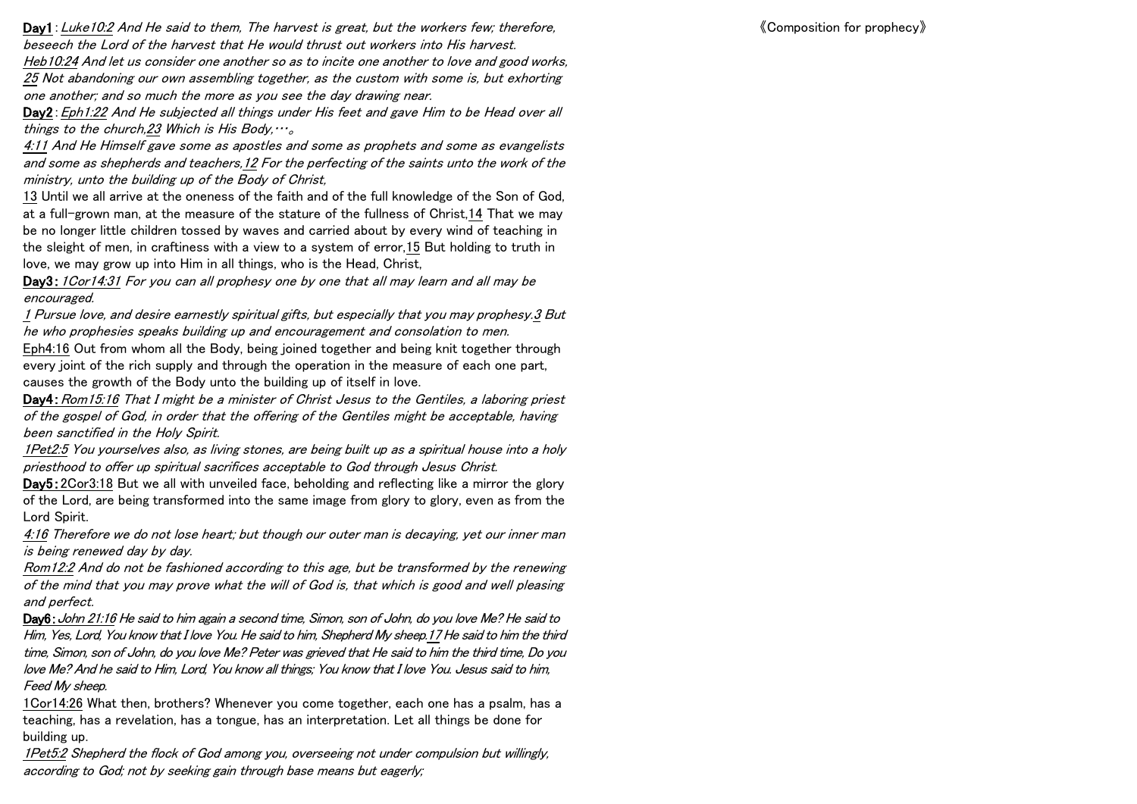《Composition for prophecy》

Day1: Luke10:2 And He said to them, The harvest is great, but the workers few; therefore, beseech the Lord of the harvest that He would thrust out workers into His harvest.

Heb10:24 And let us consider one another so as to incite one another to love and good works, 25 Not abandoning our own assembling together, as the custom with some is, but exhorting one another; and so much the more as you see the day drawing near.

Day2: Eph1:22 And He subjected all things under His feet and gave Him to be Head over all things to the church, 23 Which is His Body,  $\cdots$ 

<u>4:11</u> And He Himself gave some as apostles and some as prophets and some as evangelists and some as shepherds and teachers,12 For the perfecting of the saints unto the work of the ministry, unto the building up of the Body of Christ,

13 Until we all arrive at the oneness of the faith and of the full knowledge of the Son of God, at a full-grown man, at the measure of the stature of the fullness of Christ,14 That we may be no longer little children tossed by waves and carried about by every wind of teaching in the sleight of men, in craftiness with a view to a system of error,15 But holding to truth in love, we may grow up into Him in all things, who is the Head, Christ,

Day3: 1Cor14:31 For you can all prophesy one by one that all may learn and all may be encouraged.

1 Pursue love, and desire earnestly spiritual gifts, but especially that you may prophesy.3 But he who prophesies speaks building up and encouragement and consolation to men.

Eph4:16 Out from whom all the Body, being joined together and being knit together through every joint of the rich supply and through the operation in the measure of each one part, causes the growth of the Body unto the building up of itself in love.

Day4: Rom15:16 That I might be a minister of Christ Jesus to the Gentiles, a laboring priest of the gospel of God, in order that the offering of the Gentiles might be acceptable, having been sanctified in the Holy Spirit.

1Pet2:5 You yourselves also, as living stones, are being built up as a spiritual house into a holy priesthood to offer up spiritual sacrifices acceptable to God through Jesus Christ.

Day5:2Cor3:18 But we all with unveiled face, beholding and reflecting like a mirror the glory of the Lord, are being transformed into the same image from glory to glory, even as from the Lord Spirit.

4:16 Therefore we do not lose heart; but though our outer man is decaying, yet our inner man is being renewed day by day.

Rom12:2 And do not be fashioned according to this age, but be transformed by the renewing of the mind that you may prove what the will of God is, that which is good and well pleasing and perfect.

Day6:John 21:16 He said to him again a second time, Simon, son of John, do you love Me? He said to Him, Yes, Lord, You know that I love You. He said to him, Shepherd My sheep.17 He said to him the third time, Simon, son of John, do you love Me? Peter was grieved that He said to him the third time, Do you love Me? And he said to Him, Lord, You know all things; You know that I love You. Jesus said to him, Feed My sheep.

1Cor14:26 What then, brothers? Whenever you come together, each one has a psalm, has a teaching, has a revelation, has a tongue, has an interpretation. Let all things be done for building up.

1Pet5:2 Shepherd the flock of God among you, overseeing not under compulsion but willingly, according to God; not by seeking gain through base means but eagerly;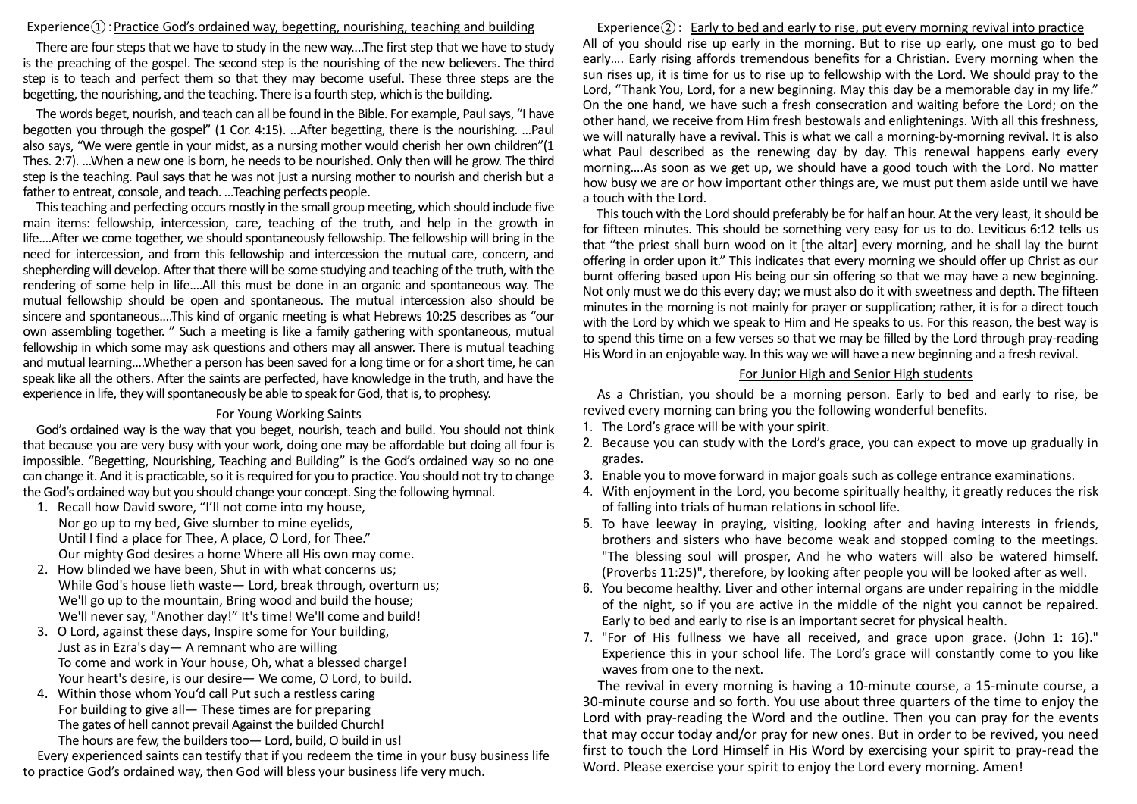#### $Experience(1)$ : Practice God's ordained way, begetting, nourishing, teaching and building

There are four steps that we have to study in the new way....The first step that we have to study is the preaching of the gospel. The second step is the nourishing of the new believers. The third step is to teach and perfect them so that they may become useful. These three steps are the begetting, the nourishing, and the teaching. There is a fourth step, which is the building.

The words beget, nourish, and teach can all be found in the Bible. For example, Paul says, "I have begotten you through the gospel" (1 Cor. 4:15). …After begetting, there is the nourishing. …Paul also says, "We were gentle in your midst, as a nursing mother would cherish her own children"(1 Thes. 2:7). ...When a new one is born, he needs to be nourished. Only then will he grow. The third step is the teaching. Paul says that he was not just a nursing mother to nourish and cherish but a father to entreat, console, and teach. …Teaching perfects people.

This teaching and perfecting occurs mostly in the small group meeting, which should include five main items: fellowship, intercession, care, teaching of the truth, and help in the growth in life....After we come together, we should spontaneously fellowship. The fellowship will bring in the need for intercession, and from this fellowship and intercession the mutual care, concern, and shepherding will develop. After that there will be some studying and teaching of the truth, with the rendering of some help in life....All this must be done in an organic and spontaneous way. The mutual fellowship should be open and spontaneous. The mutual intercession also should be sincere and spontaneous....This kind of organic meeting is what Hebrews 10:25 describes as "our own assembling together. " Such a meeting is like a family gathering with spontaneous, mutual fellowship in which some may ask questions and others may all answer. There is mutual teaching and mutual learning....Whether a person has been saved for a long time or for a short time, he can speak like all the others. After the saints are perfected, have knowledge in the truth, and have the experience in life, they will spontaneously be able to speak for God, that is, to prophesy.

### For Young Working Saints

God's ordained way is the way that you beget, nourish, teach and build. You should not think that because you are very busy with your work, doing one may be affordable but doing all four is impossible. "Begetting, Nourishing, Teaching and Building" is the God's ordained way so no one can change it. And it is practicable, so it is required for you to practice. You should not try to change the God's ordained way but you should change your concept. Sing the following hymnal.

- 1. Recall how David swore, "I'll not come into my house, Nor go up to my bed, Give slumber to mine eyelids, Until I find a place for Thee, A place, O Lord, for Thee." Our mighty God desires a home Where all His own may come.
- 2. How blinded we have been, Shut in with what concerns us; While God's house lieth waste— Lord, break through, overturn us; We'll go up to the mountain, Bring wood and build the house; We'll never say. "Another day!" It's time! We'll come and build!
- 3. O Lord, against these days, Inspire some for Your building, Just as in Ezra's day— A remnant who are willing To come and work in Your house, Oh, what a blessed charge! Your heart's desire, is our desire— We come, O Lord, to build.
- 4. Within those whom You'd call Put such a restless caring For building to give all— These times are for preparing The gates of hell cannot prevail Against the builded Church! The hours are few, the builders too— Lord, build, O build in us!

Every experienced saints can testify that if you redeem the time in your busy business life to practice God's ordained way, then God will bless your business life very much.

Experience $(2)$ : Early to bed and early to rise, put every morning revival into practice All of you should rise up early in the morning. But to rise up early, one must go to bed early…. Early rising affords tremendous benefits for a Christian. Every morning when the sun rises up, it is time for us to rise up to fellowship with the Lord. We should pray to the Lord, "Thank You, Lord, for a new beginning. May this day be a memorable day in my life." On the one hand, we have such a fresh consecration and waiting before the Lord; on the other hand, we receive from Him fresh bestowals and enlightenings. With all this freshness, we will naturally have a revival. This is what we call a morning-by-morning revival. It is also what Paul described as the renewing day by day. This renewal happens early every morning….As soon as we get up, we should have a good touch with the Lord. No matter how busy we are or how important other things are, we must put them aside until we have a touch with the Lord.

This touch with the Lord should preferably be for half an hour. At the very least, it should be for fifteen minutes. This should be something very easy for us to do. Leviticus 6:12 tells us that "the priest shall burn wood on it [the altar] every morning, and he shall lay the burnt offering in order upon it." This indicates that every morning we should offer up Christ as our burnt offering based upon His being our sin offering so that we may have a new beginning. Not only must we do this every day; we must also do it with sweetness and depth. The fifteen minutes in the morning is not mainly for prayer or supplication; rather, it is for a direct touch with the Lord by which we speak to Him and He speaks to us. For this reason, the best way is to spend this time on a few verses so that we may be filled by the Lord through pray-reading His Word in an enjoyable way. In this way we will have a new beginning and a fresh revival.

# For Junior High and Senior High students

As a Christian, you should be a morning person. Early to bed and early to rise, be revived every morning can bring you the following wonderful benefits.

- 1. The Lord's grace will be with your spirit.
- 2. Because you can study with the Lord's grace, you can expect to move up gradually in grades.
- 3. Enable you to move forward in major goals such as college entrance examinations.
- 4. With enjoyment in the Lord, you become spiritually healthy, it greatly reduces the risk of falling into trials of human relations in school life.
- 5. To have leeway in praying, visiting, looking after and having interests in friends, brothers and sisters who have become weak and stopped coming to the meetings. "The blessing soul will prosper, And he who waters will also be watered himself. (Proverbs 11:25)", therefore, by looking after people you will be looked after as well.
- 6. You become healthy. Liver and other internal organs are under repairing in the middle of the night, so if you are active in the middle of the night you cannot be repaired. Early to bed and early to rise is an important secret for physical health.
- 7. "For of His fullness we have all received, and grace upon grace. (John 1: 16)." Experience this in your school life. The Lord's grace will constantly come to you like waves from one to the next.

The revival in every morning is having a 10-minute course, a 15-minute course, a 30-minute course and so forth. You use about three quarters of the time to enjoy the Lord with pray-reading the Word and the outline. Then you can pray for the events that may occur today and/or pray for new ones. But in order to be revived, you need first to touch the Lord Himself in His Word by exercising your spirit to pray-read the Word. Please exercise your spirit to enjoy the Lord every morning. Amen!